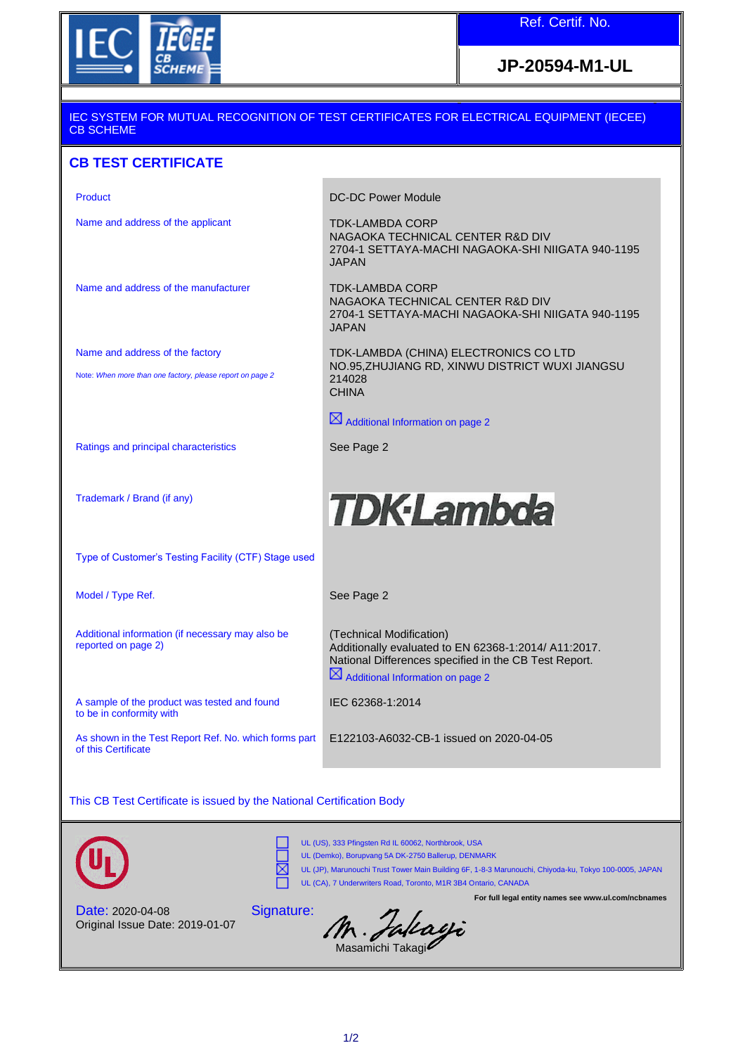

## **JP-20594-M1-UL**

## IEC SYSTEM FOR MUTUAL RECOGNITION OF TEST CERTIFICATES FOR ELECTRICAL EQUIPMENT (IECEE) CB SCHEME

## **CB TEST CERTIFICATE**

| <b>DC-DC Power Module</b>                                                                                                                                                                 |
|-------------------------------------------------------------------------------------------------------------------------------------------------------------------------------------------|
| <b>TDK-LAMBDA CORP</b><br>NAGAOKA TECHNICAL CENTER R&D DIV<br>2704-1 SETTAYA-MACHI NAGAOKA-SHI NIIGATA 940-1195<br>JAPAN                                                                  |
| <b>TDK-LAMBDA CORP</b><br>NAGAOKA TECHNICAL CENTER R&D DIV<br>2704-1 SETTAYA-MACHI NAGAOKA-SHI NIIGATA 940-1195<br><b>JAPAN</b>                                                           |
| TDK-LAMBDA (CHINA) ELECTRONICS CO LTD<br>NO.95, ZHUJIANG RD, XINWU DISTRICT WUXI JIANGSU                                                                                                  |
| 214028<br><b>CHINA</b>                                                                                                                                                                    |
| $\boxtimes$ Additional Information on page 2                                                                                                                                              |
| See Page 2                                                                                                                                                                                |
|                                                                                                                                                                                           |
| <b>TDK-Lambda</b>                                                                                                                                                                         |
|                                                                                                                                                                                           |
| See Page 2                                                                                                                                                                                |
| (Technical Modification)<br>Additionally evaluated to EN 62368-1:2014/ A11:2017.<br>National Differences specified in the CB Test Report.<br>$\boxtimes$ Additional Information on page 2 |
| IEC 62368-1:2014                                                                                                                                                                          |
| E122103-A6032-CB-1 issued on 2020-04-05                                                                                                                                                   |
|                                                                                                                                                                                           |

This CB Test Certificate is issued by the National Certification Body





UL (US), 333 Pfingsten Rd IL 60062, Northbrook, USA UL (Demko), Borupvang 5A DK-2750 Ballerup, DENMARK

⊠ UL (JP), Marunouchi Trust Tower Main Building 6F, 1-8-3 Marunouchi, Chiyoda-ku, Tokyo 100-0005, JAPAN  $\Box$ UL (CA), 7 Underwriters Road, Toronto, M1R 3B4 Ontario, CANADA **For full legal entity names see www.ul.com/ncbnames**

Date: 2020-04-08 Original Issue Date: 2019-01-07

Signature: M. Jallagi